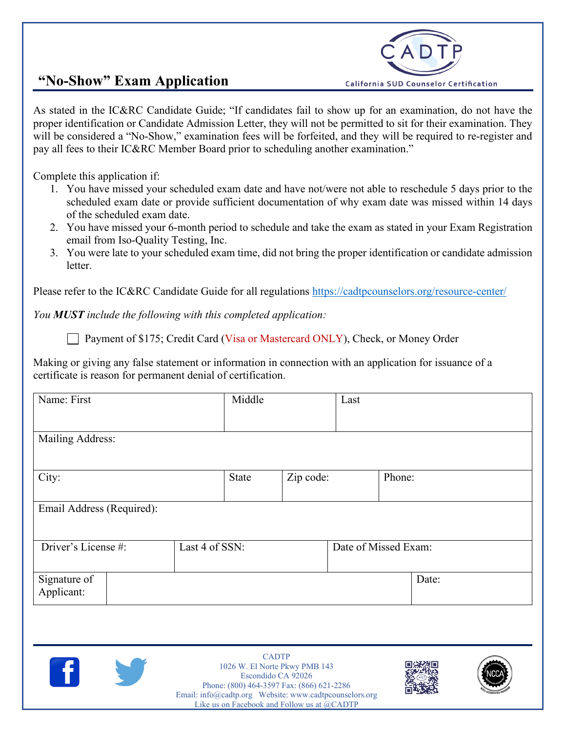## **"No-Show" Exam Application**



As stated in the IC&RC Candidate Guide; "If candidates fail to show up for an examination, do not have the proper identification or Candidate Admission Letter, they will not be permitted to sit for their examination. They will be considered a "No-Show," examination fees will be forfeited, and they will be required to re-register and pay all fees to their IC&RC Member Board prior to scheduling another examination."

Complete this application if:

- 1. You have missed your scheduled exam date and have not/were not able to reschedule 5 days prior to the scheduled exam date or provide sufficient documentation of why exam date was missed within 14 days of the scheduled exam date.
- 2. You have missed your 6-month period to schedule and take the exam as stated in your Exam Registration email from Iso-Quality Testing, Inc.
- 3. You were late to your scheduled exam time, did not bring the proper identification or candidate admission letter.

Please refer to the IC&RC Candidate Guide for all regulations<https://cadtpcounselors.org/resource-center/>

*You MUST include the following with this completed application:*

Payment of \$175; Credit Card (Visa or Mastercard ONLY), Check, or Money Order

Making or giving any false statement or information in connection with an application for issuance of a certificate is reason for permanent denial of certification.

| Name: First                | Middle         | Last      |                      |
|----------------------------|----------------|-----------|----------------------|
|                            |                |           |                      |
| Mailing Address:           |                |           |                      |
|                            |                |           |                      |
| City:                      | <b>State</b>   | Zip code: | Phone:               |
|                            |                |           |                      |
| Email Address (Required):  |                |           |                      |
|                            |                |           |                      |
| Driver's License #:        | Last 4 of SSN: |           | Date of Missed Exam: |
|                            |                |           |                      |
| Signature of<br>Applicant: |                |           | Date:                |
|                            |                |           |                      |